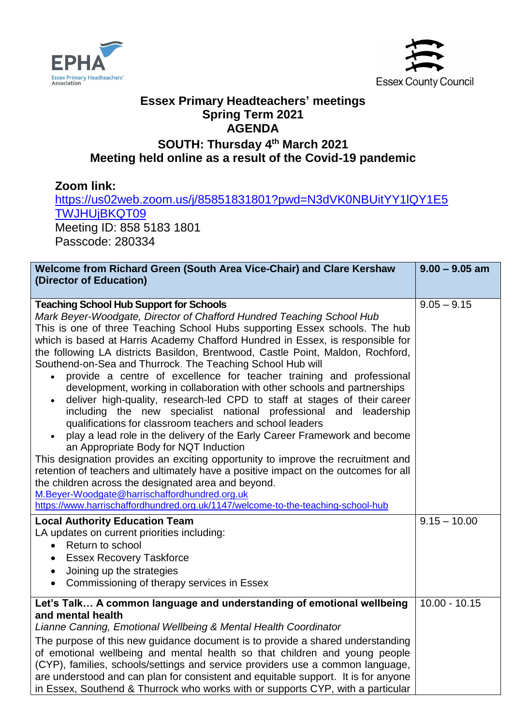



## **Essex Primary Headteachers' meetings Spring Term 2021 AGENDA**

## **SOUTH: Thursday 4 th March 2021 Meeting held online as a result of the Covid-19 pandemic**

**Zoom link:** [https://us02web.zoom.us/j/85851831801?pwd=N3dVK0NBUitYY1lQY1E5](https://us02web.zoom.us/j/85851831801?pwd=N3dVK0NBUitYY1lQY1E5TWJHUjBKQT09) [TWJHUjBKQT09](https://us02web.zoom.us/j/85851831801?pwd=N3dVK0NBUitYY1lQY1E5TWJHUjBKQT09) Meeting ID: 858 5183 1801 Passcode: 280334 **Welcome from Richard Green (South Area Vice-Chair) and Clare Kershaw (Director of Education) 9.00 – 9.05 am Teaching School Hub Support for Schools** *Mark Beyer-Woodgate, Director of Chafford Hundred Teaching School Hub*  This is one of three Teaching School Hubs supporting Essex schools. The hub which is based at Harris Academy Chafford Hundred in Essex, is responsible for the following LA districts Basildon, Brentwood, Castle Point, Maldon, Rochford, Southend-on-Sea and Thurrock. The Teaching School Hub will provide a centre of excellence for teacher training and professional development, working in collaboration with other schools and partnerships deliver high-quality, research-led CPD to staff at stages of their career including the new specialist national professional and leadership qualifications for classroom teachers and school leaders play a lead role in the delivery of the Early Career Framework and become an Appropriate Body for NQT Induction This designation provides an exciting opportunity to improve the recruitment and retention of teachers and ultimately have a positive impact on the outcomes for all the children across the designated area and beyond. [M.Beyer-Woodgate@harrischaffordhundred.org.uk](mailto:M.Beyer-Woodgate@harrischaffordhundred.org.uk) <https://www.harrischaffordhundred.org.uk/1147/welcome-to-the-teaching-school-hub>  $9.05 - 9.15$ **Local Authority Education Team** LA updates on current priorities including: • Return to school • Essex Recovery Taskforce Joining up the strategies  $9.15 - 10.00$ 

• Commissioning of therapy services in Essex

## **Let's Talk… A common language and understanding of emotional wellbeing and mental health** *Lianne Canning, Emotional Wellbeing & Mental Health Coordinator* The purpose of this new guidance document is to provide a shared understanding 10.00 - 10.15

of emotional wellbeing and mental health so that children and young people (CYP), families, schools/settings and service providers use a common language, are understood and can plan for consistent and equitable support. It is for anyone in Essex, Southend & Thurrock who works with or supports CYP, with a particular